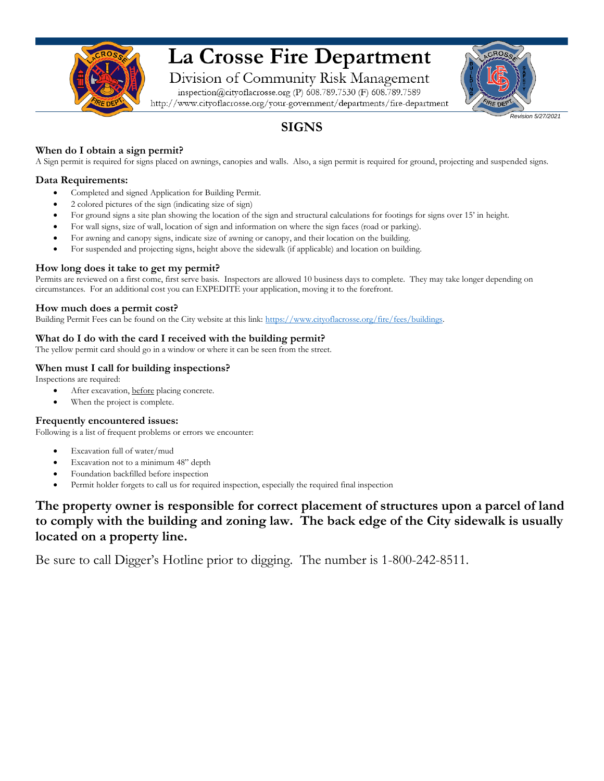

# La Crosse Fire Department

Division of Community Risk Management

inspection@cityoflacrosse.org (P) 608.789.7530 (F) 608.789.7589 http://www.cityoflacrosse.org/your-government/departments/fire-department *Revision 5/27/2021*

## **SIGNS**

#### **When do I obtain a sign permit?**

A Sign permit is required for signs placed on awnings, canopies and walls. Also, a sign permit is required for ground, projecting and suspended signs.

#### **Data Requirements:**

- Completed and signed Application for Building Permit.
- 2 colored pictures of the sign (indicating size of sign)
- For ground signs a site plan showing the location of the sign and structural calculations for footings for signs over 15' in height.
- For wall signs, size of wall, location of sign and information on where the sign faces (road or parking).
- For awning and canopy signs, indicate size of awning or canopy, and their location on the building.
- For suspended and projecting signs, height above the sidewalk (if applicable) and location on building.

#### **How long does it take to get my permit?**

Permits are reviewed on a first come, first serve basis. Inspectors are allowed 10 business days to complete. They may take longer depending on circumstances. For an additional cost you can EXPEDITE your [application, moving it to the forefront.](https://www.cityoflacrosse.org/fire/fees/buildings)

#### **How much does a permit cost?**

Building Permit Fees can be found on the City website at this link: https://www.cityoflacrosse.org/fire/fees/buildings.

#### **What do I do with the card I received with the building permit?**

The yellow permit card should go in a window or where it can be seen from the street.

#### **When must I call for building inspections?**

Inspections are required:

- After excavation, before placing concrete.
- When the project is complete.

#### **Frequently encountered issues:**

Following is a list of frequent problems or errors we encounter:

- Excavation full of water/mud
- Excavation not to a minimum 48" depth
- Foundation backfilled before inspection
- Permit holder forgets to call us for required inspection, especially the required final inspection

### **The property owner is responsible for correct placement of structures upon a parcel of land to comply with the building and zoning law. The back edge of the City sidewalk is usually located on a property line.**

Be sure to call Digger's Hotline prior to digging. The number is 1-800-242-8511.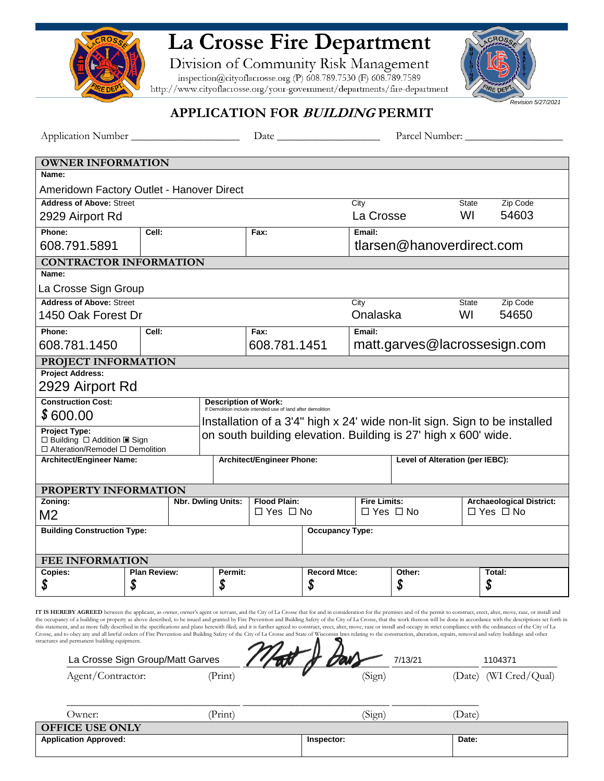

## La Crosse Fire Department

Division of Community Risk Management<br>inspection@cityoflacrosse.org (P) 608.789.7530 (F) 608.789.7589<br>http://www.cityoflacrosse.org/your-government/departments/fire-department

je dej *Revision 5/27/2021*

### **APPLICATION FOR BUILDING PERMIT**

|                                                                                                                                                                                                                                                                                                                                                                                                                                                                                                                                                                                                                                                                                                                                                                                                                                                                                                                                                                                                                        |                                 |  |                                                                           |                                                                                            |                        |                                  |                                                                | Parcel Number: |                                 |  |
|------------------------------------------------------------------------------------------------------------------------------------------------------------------------------------------------------------------------------------------------------------------------------------------------------------------------------------------------------------------------------------------------------------------------------------------------------------------------------------------------------------------------------------------------------------------------------------------------------------------------------------------------------------------------------------------------------------------------------------------------------------------------------------------------------------------------------------------------------------------------------------------------------------------------------------------------------------------------------------------------------------------------|---------------------------------|--|---------------------------------------------------------------------------|--------------------------------------------------------------------------------------------|------------------------|----------------------------------|----------------------------------------------------------------|----------------|---------------------------------|--|
| <b>OWNER INFORMATION</b>                                                                                                                                                                                                                                                                                                                                                                                                                                                                                                                                                                                                                                                                                                                                                                                                                                                                                                                                                                                               |                                 |  |                                                                           |                                                                                            |                        |                                  |                                                                |                |                                 |  |
| Name:                                                                                                                                                                                                                                                                                                                                                                                                                                                                                                                                                                                                                                                                                                                                                                                                                                                                                                                                                                                                                  |                                 |  |                                                                           |                                                                                            |                        |                                  |                                                                |                |                                 |  |
| Ameridown Factory Outlet - Hanover Direct                                                                                                                                                                                                                                                                                                                                                                                                                                                                                                                                                                                                                                                                                                                                                                                                                                                                                                                                                                              |                                 |  |                                                                           |                                                                                            |                        |                                  |                                                                |                |                                 |  |
| <b>Address of Above: Street</b>                                                                                                                                                                                                                                                                                                                                                                                                                                                                                                                                                                                                                                                                                                                                                                                                                                                                                                                                                                                        |                                 |  |                                                                           |                                                                                            |                        | City                             |                                                                | State          | Zip Code                        |  |
| 2929 Airport Rd                                                                                                                                                                                                                                                                                                                                                                                                                                                                                                                                                                                                                                                                                                                                                                                                                                                                                                                                                                                                        |                                 |  |                                                                           |                                                                                            |                        | La Crosse                        |                                                                | WI             | 54603                           |  |
| Phone:                                                                                                                                                                                                                                                                                                                                                                                                                                                                                                                                                                                                                                                                                                                                                                                                                                                                                                                                                                                                                 | Cell:                           |  |                                                                           | Fax:                                                                                       |                        | Email:                           |                                                                |                |                                 |  |
| 608.791.5891                                                                                                                                                                                                                                                                                                                                                                                                                                                                                                                                                                                                                                                                                                                                                                                                                                                                                                                                                                                                           |                                 |  |                                                                           |                                                                                            |                        | tlarsen@hanoverdirect.com        |                                                                |                |                                 |  |
| <b>CONTRACTOR INFORMATION</b>                                                                                                                                                                                                                                                                                                                                                                                                                                                                                                                                                                                                                                                                                                                                                                                                                                                                                                                                                                                          |                                 |  |                                                                           |                                                                                            |                        |                                  |                                                                |                |                                 |  |
| Name:                                                                                                                                                                                                                                                                                                                                                                                                                                                                                                                                                                                                                                                                                                                                                                                                                                                                                                                                                                                                                  |                                 |  |                                                                           |                                                                                            |                        |                                  |                                                                |                |                                 |  |
| La Crosse Sign Group                                                                                                                                                                                                                                                                                                                                                                                                                                                                                                                                                                                                                                                                                                                                                                                                                                                                                                                                                                                                   |                                 |  |                                                                           |                                                                                            |                        |                                  |                                                                |                |                                 |  |
|                                                                                                                                                                                                                                                                                                                                                                                                                                                                                                                                                                                                                                                                                                                                                                                                                                                                                                                                                                                                                        | <b>Address of Above: Street</b> |  |                                                                           |                                                                                            |                        | City<br>Zip Code<br><b>State</b> |                                                                |                |                                 |  |
|                                                                                                                                                                                                                                                                                                                                                                                                                                                                                                                                                                                                                                                                                                                                                                                                                                                                                                                                                                                                                        | 1450 Oak Forest Dr              |  |                                                                           |                                                                                            |                        | Onalaska                         |                                                                | WI             | 54650                           |  |
| Phone:                                                                                                                                                                                                                                                                                                                                                                                                                                                                                                                                                                                                                                                                                                                                                                                                                                                                                                                                                                                                                 | Cell:                           |  |                                                                           | Fax:                                                                                       |                        | Email:                           |                                                                |                |                                 |  |
| 608.781.1450                                                                                                                                                                                                                                                                                                                                                                                                                                                                                                                                                                                                                                                                                                                                                                                                                                                                                                                                                                                                           |                                 |  |                                                                           | 608.781.1451                                                                               |                        | matt.garves@lacrossesign.com     |                                                                |                |                                 |  |
| PROJECT INFORMATION                                                                                                                                                                                                                                                                                                                                                                                                                                                                                                                                                                                                                                                                                                                                                                                                                                                                                                                                                                                                    |                                 |  |                                                                           |                                                                                            |                        |                                  |                                                                |                |                                 |  |
| <b>Project Address:</b>                                                                                                                                                                                                                                                                                                                                                                                                                                                                                                                                                                                                                                                                                                                                                                                                                                                                                                                                                                                                |                                 |  |                                                                           |                                                                                            |                        |                                  |                                                                |                |                                 |  |
| 2929 Airport Rd                                                                                                                                                                                                                                                                                                                                                                                                                                                                                                                                                                                                                                                                                                                                                                                                                                                                                                                                                                                                        |                                 |  |                                                                           |                                                                                            |                        |                                  |                                                                |                |                                 |  |
| <b>Construction Cost:</b>                                                                                                                                                                                                                                                                                                                                                                                                                                                                                                                                                                                                                                                                                                                                                                                                                                                                                                                                                                                              |                                 |  |                                                                           | <b>Description of Work:</b><br>If Demolition include intended use of land after demolition |                        |                                  |                                                                |                |                                 |  |
| \$600.00                                                                                                                                                                                                                                                                                                                                                                                                                                                                                                                                                                                                                                                                                                                                                                                                                                                                                                                                                                                                               |                                 |  | Installation of a 3'4" high x 24' wide non-lit sign. Sign to be installed |                                                                                            |                        |                                  |                                                                |                |                                 |  |
| <b>Project Type:</b><br>$\Box$ Building $\Box$ Addition $\Box$ Sign<br>$\Box$ Alteration/Remodel $\Box$ Demolition                                                                                                                                                                                                                                                                                                                                                                                                                                                                                                                                                                                                                                                                                                                                                                                                                                                                                                     |                                 |  |                                                                           |                                                                                            |                        |                                  | on south building elevation. Building is 27' high x 600' wide. |                |                                 |  |
|                                                                                                                                                                                                                                                                                                                                                                                                                                                                                                                                                                                                                                                                                                                                                                                                                                                                                                                                                                                                                        | Architect/Engineer Name:        |  |                                                                           | Architect/Engineer Phone:                                                                  |                        |                                  | Level of Alteration (per IEBC):                                |                |                                 |  |
|                                                                                                                                                                                                                                                                                                                                                                                                                                                                                                                                                                                                                                                                                                                                                                                                                                                                                                                                                                                                                        |                                 |  |                                                                           |                                                                                            |                        |                                  |                                                                |                |                                 |  |
| PROPERTY INFORMATION                                                                                                                                                                                                                                                                                                                                                                                                                                                                                                                                                                                                                                                                                                                                                                                                                                                                                                                                                                                                   |                                 |  |                                                                           |                                                                                            |                        |                                  |                                                                |                |                                 |  |
| Zoning:                                                                                                                                                                                                                                                                                                                                                                                                                                                                                                                                                                                                                                                                                                                                                                                                                                                                                                                                                                                                                |                                 |  | <b>Nbr. Dwling Units:</b>                                                 | <b>Flood Plain:</b>                                                                        |                        | <b>Fire Limits:</b>              |                                                                |                | <b>Archaeological District:</b> |  |
| M <sub>2</sub>                                                                                                                                                                                                                                                                                                                                                                                                                                                                                                                                                                                                                                                                                                                                                                                                                                                                                                                                                                                                         |                                 |  |                                                                           | $\Box$ Yes $\Box$ No                                                                       |                        | $\Box$ Yes $\Box$ No             |                                                                |                | $\Box$ Yes $\Box$ No            |  |
| <b>Building Construction Type:</b>                                                                                                                                                                                                                                                                                                                                                                                                                                                                                                                                                                                                                                                                                                                                                                                                                                                                                                                                                                                     |                                 |  |                                                                           |                                                                                            | <b>Occupancy Type:</b> |                                  |                                                                |                |                                 |  |
| <b>FEE INFORMATION</b>                                                                                                                                                                                                                                                                                                                                                                                                                                                                                                                                                                                                                                                                                                                                                                                                                                                                                                                                                                                                 |                                 |  |                                                                           |                                                                                            |                        |                                  |                                                                |                |                                 |  |
| Copies:                                                                                                                                                                                                                                                                                                                                                                                                                                                                                                                                                                                                                                                                                                                                                                                                                                                                                                                                                                                                                | <b>Plan Review:</b>             |  | Permit:                                                                   |                                                                                            | <b>Record Mtce:</b>    |                                  | Other:                                                         |                | Total:                          |  |
| \$                                                                                                                                                                                                                                                                                                                                                                                                                                                                                                                                                                                                                                                                                                                                                                                                                                                                                                                                                                                                                     | \$                              |  | \$                                                                        |                                                                                            | S                      |                                  | \$                                                             |                | \$                              |  |
| IT IS HEREBY AGREED between the applicant, as owner, owner's agent or servant, and the City of La Crosse that for and in consideration for the premises and of the permit to construct, erect, alter, move, raze, or install a<br>the occupancy of a building or property as above described, to be issued and granted by Fire Prevention and Building Safety of the City of La Crosse, that the work thereon will be done in accordance with the descriptions s<br>this statement, and as more fully described in the specifications and plans herewith filed; and it is further agreed to construct, erect, alter, move, raze or install and occupy in strict compliance with the ordinances of<br>Crosse, and to obey any and all lawful orders of Fire Prevention and Building Safety of the City of La Crosse and State of Wisconsin laws relating to the construction, alteration, repairs, removal and safety buildings and<br>structures and permanent building equipment.<br>La Crosse Sign Group/Matt Garves |                                 |  |                                                                           |                                                                                            |                        |                                  | 7/13/21                                                        |                | 1104371                         |  |
| Agent/Contractor:                                                                                                                                                                                                                                                                                                                                                                                                                                                                                                                                                                                                                                                                                                                                                                                                                                                                                                                                                                                                      |                                 |  | (Print)                                                                   |                                                                                            |                        | (Sign)                           |                                                                |                | (Date) (WI Cred/Qual)           |  |
|                                                                                                                                                                                                                                                                                                                                                                                                                                                                                                                                                                                                                                                                                                                                                                                                                                                                                                                                                                                                                        |                                 |  |                                                                           |                                                                                            |                        |                                  |                                                                |                |                                 |  |
| Owner:                                                                                                                                                                                                                                                                                                                                                                                                                                                                                                                                                                                                                                                                                                                                                                                                                                                                                                                                                                                                                 |                                 |  | (Print)                                                                   |                                                                                            |                        | (Sign)                           |                                                                | (Date)         |                                 |  |

|                                  | ິ          |       |
|----------------------------------|------------|-------|
| <b>OFFICE USE</b><br><b>ONLY</b> |            |       |
| <b>Application Approved:</b>     | Inspector: | Date: |